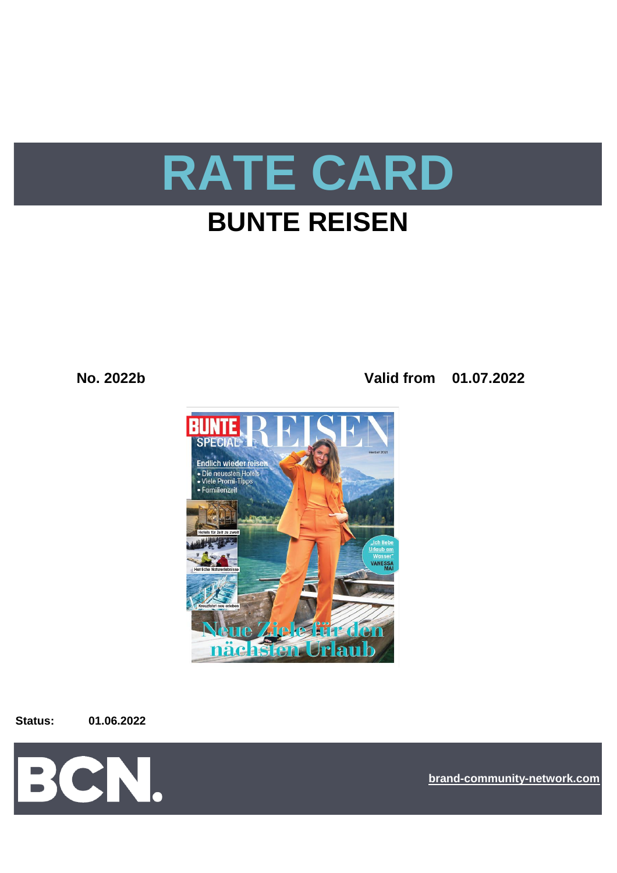

# **BUNTE REISEN**

**No. 2022b Valid from 01.07.2022**



**Status: 01.06.2022**



**[bra](https://bcn.burda.com/)nd-community-network.com**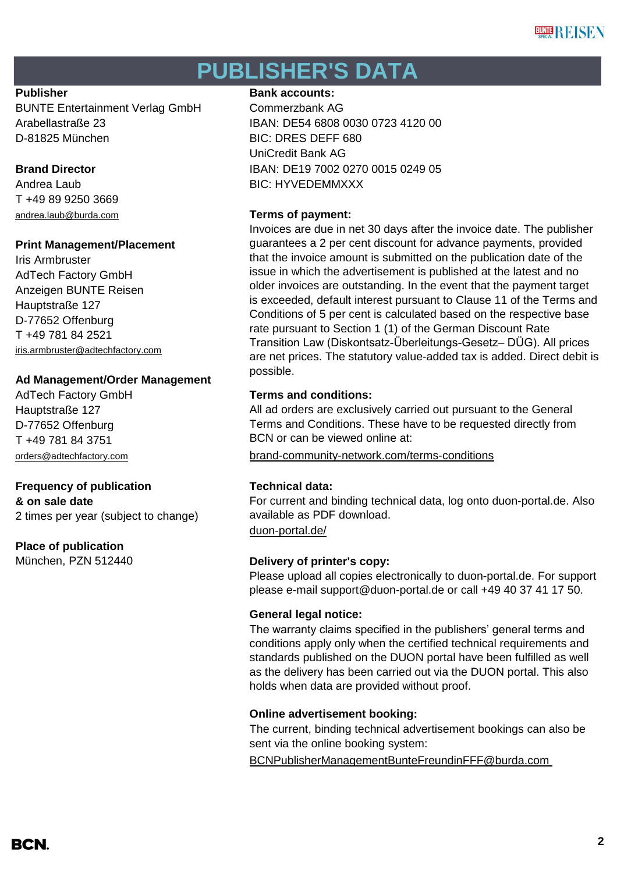## **PUBLISHER'S DATA**

BUNTE Entertainment Verlag GmbH Commerzbank AG D-81825 München BIC: DRES DEFF 680

T +49 89 9250 3669 [andrea.laub@burda.com](mailto:heike.lauber@burda.com) **Terms of payment:**

## **Print Management/Placement**

Iris Armbruster AdTech Factory GmbH Anzeigen BUNTE Reisen Hauptstraße 127 D-77652 Offenburg T +49 781 84 2521 [iris.armbruster@adtechfactory.com](mailto:iris.armbruster@adtechfactory.com)

## **Ad Management/Order Management**

Hauptstraße 127 D-77652 Offenburg T +49 781 84 3751

## **Frequency of publication Technical data:**

**& on sale date**

2 times per year (subject to change)

## **Place of publication**

#### **Publisher Bank accounts: Bank accounts:**

Arabellastraße 23 IBAN: DE54 6808 0030 0723 4120 00 UniCredit Bank AG **Brand Director IBAN: DE19 7002 0270 0015 0249 05** Andrea Laub BIC: HYVEDEMMXXX

Invoices are due in net 30 days after the invoice date. The publisher guarantees a 2 per cent discount for advance payments, provided that the invoice amount is submitted on the publication date of the issue in which the advertisement is published at the latest and no older invoices are outstanding. In the event that the payment target is exceeded, default interest pursuant to Clause 11 of the Terms and Conditions of 5 per cent is calculated based on the respective base rate pursuant to Section 1 (1) of the German Discount Rate Transition Law (Diskontsatz-Überleitungs-Gesetz– DÜG). All prices are net prices. The statutory value-added tax is added. Direct debit is possible.

#### AdTech Factory GmbH **Terms and conditions:**

All ad orders are exclusively carried out pursuant to the General Terms and Conditions. These have to be requested directly from BCN or can be viewed online at:

[orders@adtechfactory.com](mailto:orders@adtechfactory.com) [brand-community-network.com/terms-conditions](https://bcn.burda.com/terms-conditions)

[duon-portal.de/](https://duon-portal.de/) For current and binding technical data, log onto duon-portal.de. Also available as PDF download.

## München, PZN 512440 **Delivery of printer's copy:**

Please upload all copies electronically to duon-portal.de. For support please e-mail support@duon-portal.de or call +49 40 37 41 17 50.

## **General legal notice:**

The warranty claims specified in the publishers' general terms and conditions apply only when the certified technical requirements and standards published on the DUON portal have been fulfilled as well as the delivery has been carried out via the DUON portal. This also holds when data are provided without proof.

## **Online advertisement booking:**

The current, binding technical advertisement bookings can also be sent via the online booking system:

[BCNPublisherManagementBunteFreundinFFF@burda.com](https://www.obs-portal.de/)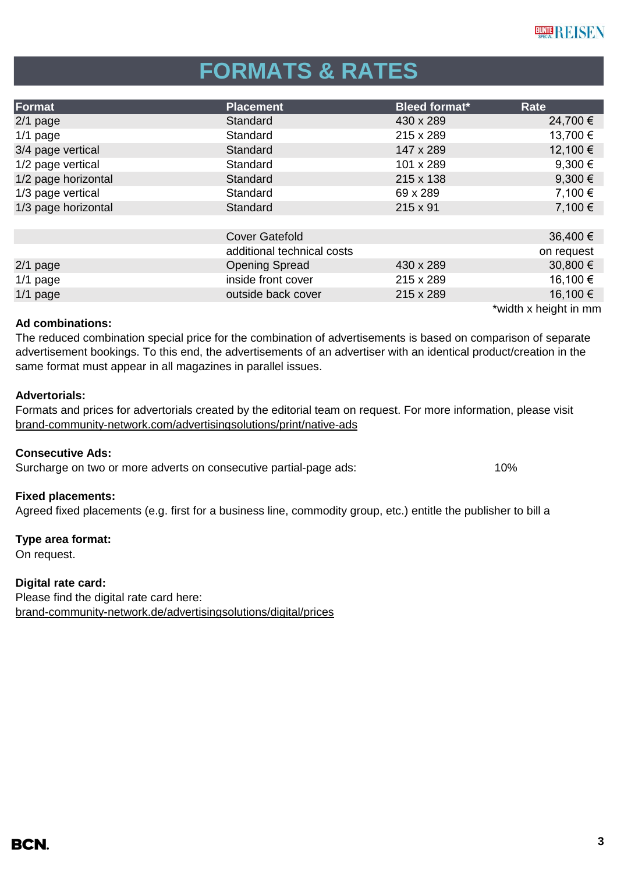# **FORMATS & RATES**

| Format              | <b>Placement</b>           | <b>Bleed format*</b> | Rate                  |
|---------------------|----------------------------|----------------------|-----------------------|
| $2/1$ page          | Standard                   | 430 x 289            | 24,700 €              |
| $1/1$ page          | Standard                   | 215 x 289            | 13,700 €              |
| 3/4 page vertical   | Standard                   | 147 x 289            | 12,100 €              |
| 1/2 page vertical   | Standard                   | 101 x 289            | 9,300 $\epsilon$      |
| 1/2 page horizontal | Standard                   | 215 x 138            | $9,300 \in$           |
| 1/3 page vertical   | Standard                   | 69 x 289             | 7,100 €               |
| 1/3 page horizontal | Standard                   | $215 \times 91$      | 7,100 €               |
|                     |                            |                      |                       |
|                     | <b>Cover Gatefold</b>      |                      | 36,400 €              |
|                     | additional technical costs |                      | on request            |
| $2/1$ page          | <b>Opening Spread</b>      | 430 x 289            | 30,800 €              |
| $1/1$ page          | inside front cover         | 215 x 289            | 16,100 €              |
| $1/1$ page          | outside back cover         | 215 x 289            | 16,100 €              |
|                     |                            |                      | *width x height in mm |

#### **Ad combinations:**

The reduced combination special price for the combination of advertisements is based on comparison of separate advertisement bookings. To this end, the advertisements of an advertiser with an identical product/creation in the same format must appear in all magazines in parallel issues.

#### **Advertorials:**

[brand-community-network.com/advertisin](https://bcn.burda.com/advertisingsolutions/print/native-ads)gsolutions/print/native-ads Formats and prices for advertorials created by the editorial team on request. For more information, please visit

#### **Consecutive Ads:**

Surcharge on two or more adverts on consecutive partial-page ads: 10%

#### **Fixed placements:**

Agreed fixed placements (e.g. first for a business line, commodity group, etc.) entitle the publisher to bill a

#### **Type area format:**

On request.

#### **Digital rate card:**

Please find the digital rate card here: [brand-community-network.de/advertisingsolutions/digital/prices](https://bcn.burda.com/advertisingsolutions/digital/prices)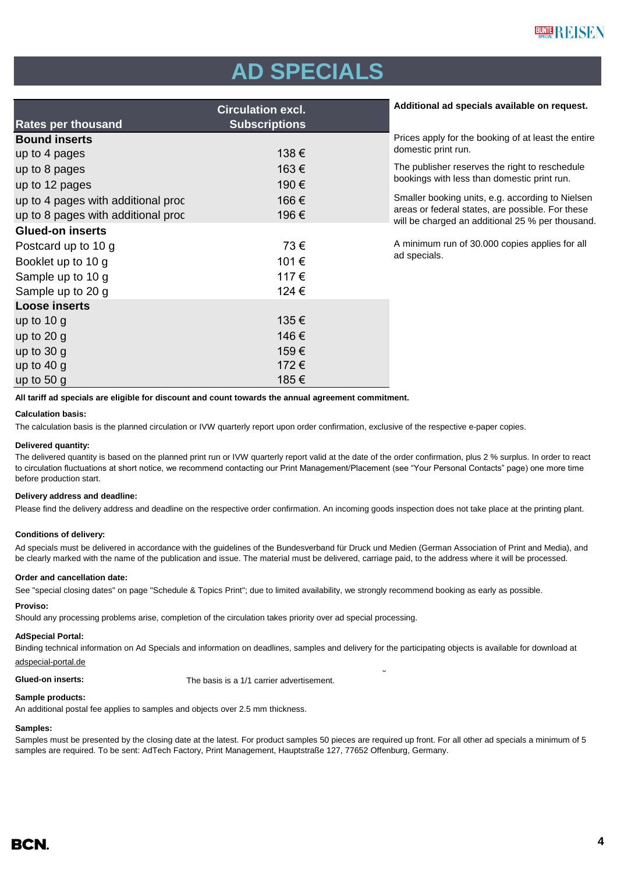# **AD SPECIALS**

|                                    | <b>Circulation excl.</b> | Additional ad specials available on request.                                                         |  |
|------------------------------------|--------------------------|------------------------------------------------------------------------------------------------------|--|
| <b>Rates per thousand</b>          | <b>Subscriptions</b>     |                                                                                                      |  |
| <b>Bound inserts</b>               |                          | Prices apply for the booking of at least the entire                                                  |  |
| up to 4 pages                      | 138€                     | domestic print run.                                                                                  |  |
| up to 8 pages                      | 163€                     | The publisher reserves the right to reschedule                                                       |  |
| up to 12 pages                     | 190€                     | bookings with less than domestic print run.                                                          |  |
| up to 4 pages with additional proc | 166€                     | Smaller booking units, e.g. according to Nielsen                                                     |  |
| up to 8 pages with additional proc | 196€                     | areas or federal states, are possible. For these<br>will be charged an additional 25 % per thousand. |  |
| <b>Glued-on inserts</b>            |                          |                                                                                                      |  |
| Postcard up to 10 g                | 73€                      | A minimum run of 30.000 copies applies for all                                                       |  |
| Booklet up to 10 g                 | 101€                     | ad specials.                                                                                         |  |
| Sample up to 10 g                  | 117€                     |                                                                                                      |  |
| Sample up to 20 g                  | 124 €                    |                                                                                                      |  |
| <b>Loose inserts</b>               |                          |                                                                                                      |  |
| up to $10 g$                       | 135€                     |                                                                                                      |  |
| up to $20 g$                       | 146€                     |                                                                                                      |  |
| up to $30 g$                       | 159€                     |                                                                                                      |  |
| up to $40 g$                       | 172€                     |                                                                                                      |  |
| up to $50 g$                       | 185€                     |                                                                                                      |  |

**All tariff ad specials are eligible for discount and count towards the annual agreement commitment.**

#### **Calculation basis:**

The calculation basis is the planned circulation or IVW quarterly report upon order confirmation, exclusive of the respective e-paper copies.

#### **Delivered quantity:**

The delivered quantity is based on the planned print run or IVW quarterly report valid at the date of the order confirmation, plus 2 % surplus. In order to react to circulation fluctuations at short notice, we recommend contacting our Print Management/Placement (see "Your Personal Contacts" page) one more time before production start.

#### **Delivery address and deadline:**

Please find the delivery address and deadline on the respective order confirmation. An incoming goods inspection does not take place at the printing plant.

#### **Conditions of delivery:**

Ad specials must be delivered in accordance with the guidelines of the Bundesverband für Druck und Medien (German Association of Print and Media), and be clearly marked with the name of the publication and issue. The material must be delivered, carriage paid, to the address where it will be processed.

#### **Order and cancellation date:**

See "special closing dates" on page "Schedule & Topics Print"; due to limited availability, we strongly recommend booking as early as possible.

#### **Proviso:**

Should any processing problems arise, completion of the circulation takes priority over ad special processing.

#### **AdSpecial Portal:**

BCNPublisherManag Binding technical information on Ad Specials and information on deadlines, samples and delivery for the participating objects is available for download at adspecial-portal.de

**Glued-on inserts:** The basis is a 1/1 carrier advertisement.

#### **Sample products:**

An additional postal fee applies to samples and objects over 2.5 mm thickness.

#### **Samples:**

Samples must be presented by the closing date at the latest. For product samples 50 pieces are required up front. For all other ad specials a minimum of 5 samples are required. To be sent: AdTech Factory, Print Management, Hauptstraße 127, 77652 Offenburg, Germany.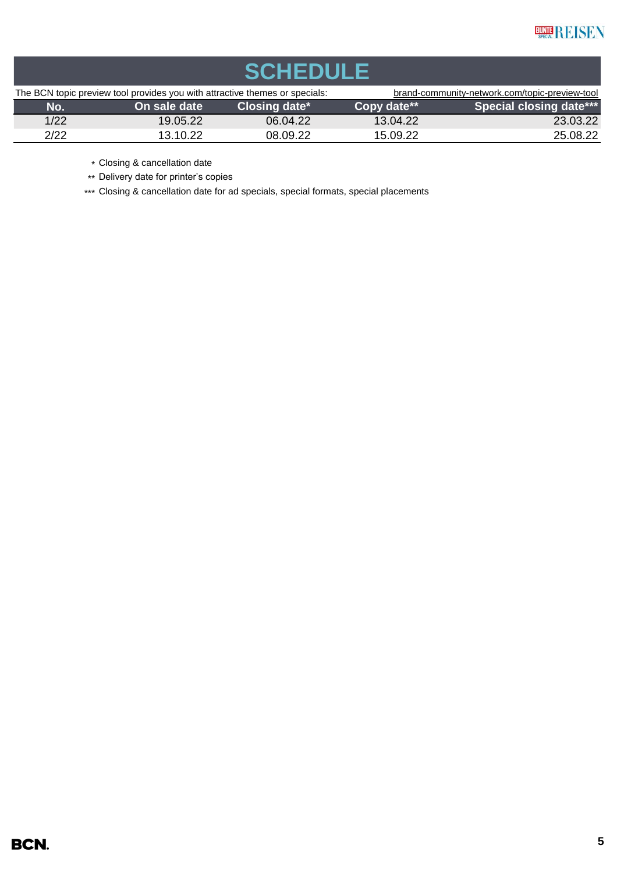| <b>SCHEDULE</b>                                                             |              |                                                |             |                                |  |  |
|-----------------------------------------------------------------------------|--------------|------------------------------------------------|-------------|--------------------------------|--|--|
| The BCN topic preview tool provides you with attractive themes or specials: |              | brand-community-network.com/topic-preview-tool |             |                                |  |  |
| No.                                                                         | On sale date | Closing date*                                  | Copy date** | <b>Special closing date***</b> |  |  |
| 1/22                                                                        | 19.05.22     | 06.04.22                                       | 13.04.22    | 23.03.22                       |  |  |
| 2/22                                                                        | 13.10.22     | 08.09.22                                       | 15.09.22    | 25.08.22                       |  |  |

\* Closing & cancellation date

\*\* Delivery date for printer's copies

\*\*\* Closing & cancellation date for ad specials, special formats, special placements